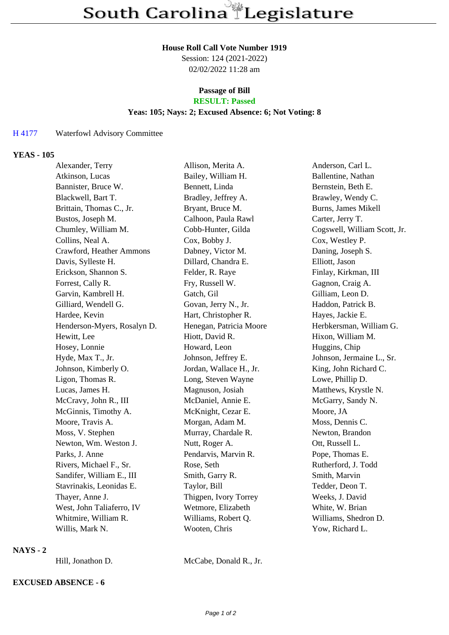#### **House Roll Call Vote Number 1919**

Session: 124 (2021-2022) 02/02/2022 11:28 am

# **Passage of Bill**

## **RESULT: Passed**

### **Yeas: 105; Nays: 2; Excused Absence: 6; Not Voting: 8**

### H 4177 Waterfowl Advisory Committee

### **YEAS - 105**

| Alexander, Terry            | Allison, Merita A.      | Anderson, Carl L.            |
|-----------------------------|-------------------------|------------------------------|
| Atkinson, Lucas             | Bailey, William H.      | Ballentine, Nathan           |
| Bannister, Bruce W.         | Bennett, Linda          | Bernstein, Beth E.           |
| Blackwell, Bart T.          | Bradley, Jeffrey A.     | Brawley, Wendy C.            |
| Brittain, Thomas C., Jr.    | Bryant, Bruce M.        | <b>Burns, James Mikell</b>   |
| Bustos, Joseph M.           | Calhoon, Paula Rawl     | Carter, Jerry T.             |
| Chumley, William M.         | Cobb-Hunter, Gilda      | Cogswell, William Scott, Jr. |
| Collins, Neal A.            | Cox, Bobby J.           | Cox, Westley P.              |
| Crawford, Heather Ammons    | Dabney, Victor M.       | Daning, Joseph S.            |
| Davis, Sylleste H.          | Dillard, Chandra E.     | Elliott, Jason               |
| Erickson, Shannon S.        | Felder, R. Raye         | Finlay, Kirkman, III         |
| Forrest, Cally R.           | Fry, Russell W.         | Gagnon, Craig A.             |
| Garvin, Kambrell H.         | Gatch, Gil              | Gilliam, Leon D.             |
| Gilliard, Wendell G.        | Govan, Jerry N., Jr.    | Haddon, Patrick B.           |
| Hardee, Kevin               | Hart, Christopher R.    | Hayes, Jackie E.             |
| Henderson-Myers, Rosalyn D. | Henegan, Patricia Moore | Herbkersman, William G.      |
| Hewitt, Lee                 | Hiott, David R.         | Hixon, William M.            |
| Hosey, Lonnie               | Howard, Leon            | Huggins, Chip                |
| Hyde, Max T., Jr.           | Johnson, Jeffrey E.     | Johnson, Jermaine L., Sr.    |
| Johnson, Kimberly O.        | Jordan, Wallace H., Jr. | King, John Richard C.        |
| Ligon, Thomas R.            | Long, Steven Wayne      | Lowe, Phillip D.             |
| Lucas, James H.             | Magnuson, Josiah        | Matthews, Krystle N.         |
| McCravy, John R., III       | McDaniel, Annie E.      | McGarry, Sandy N.            |
| McGinnis, Timothy A.        | McKnight, Cezar E.      | Moore, JA                    |
| Moore, Travis A.            | Morgan, Adam M.         | Moss, Dennis C.              |
| Moss, V. Stephen            | Murray, Chardale R.     | Newton, Brandon              |
| Newton, Wm. Weston J.       | Nutt, Roger A.          | Ott, Russell L.              |
| Parks, J. Anne              | Pendarvis, Marvin R.    | Pope, Thomas E.              |
| Rivers, Michael F., Sr.     | Rose, Seth              | Rutherford, J. Todd          |
| Sandifer, William E., III   | Smith, Garry R.         | Smith, Marvin                |
| Stavrinakis, Leonidas E.    | Taylor, Bill            | Tedder, Deon T.              |
| Thayer, Anne J.             | Thigpen, Ivory Torrey   | Weeks, J. David              |
| West, John Taliaferro, IV   | Wetmore, Elizabeth      | White, W. Brian              |
| Whitmire, William R.        | Williams, Robert Q.     | Williams, Shedron D.         |
| Willis, Mark N.             | Wooten, Chris           | Yow, Richard L.              |

#### **NAYS - 2**

Hill, Jonathon D. McCabe, Donald R., Jr.

## **EXCUSED ABSENCE - 6**